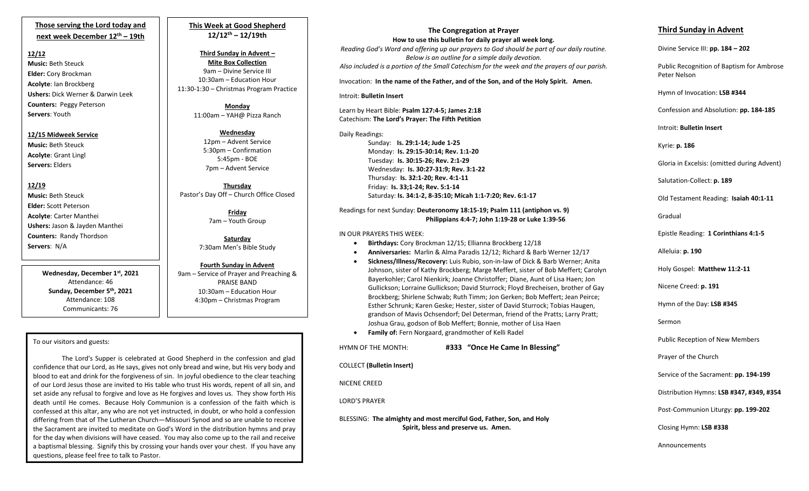# **Those serving the Lord today and next week December 12th – 19th**

#### **12/12**

**Music:** Beth Steuck **Elder:** Cory Brockman **Acolyte**: Ian Brockberg **Ushers:** Dick Werner & Darwin Leek **Counters:** Peggy Peterson **Servers**: Youth

## **12/15 Midweek Service**

**Music:** Beth Steuck **Acolyte**: Grant Lingl **Servers:** Elders

### **12/19**

**Music:** Beth Steuck **Elder:** Scott Peterson **Acolyte**: Carter Manthei **Ushers:** Jason & Jayden Manthei **Counters:** Randy Thordson **Servers**: N/A

> **Wednesday, December 1st, 2021** Attendance: 46 **Sunday, December 5th , 2021** Attendance: 108 Communicants: 76

# **This Week at Good Shepherd 12/12th – 12/19th**

**Third Sunday in Advent – Mite Box Collection** 9am – Divine Service III 10:30am – Education Hour 11:30-1:30 – Christmas Program Practice

> **Monday** 11:00am – YAH@ Pizza Ranch

**Wednesday** 12pm – Advent Service 5:30pm – Confirmation 5:45pm - BOE 7pm – Advent Service

**Thursday** Pastor's Day Off – Church Office Closed

> **Friday** 7am – Youth Group

**Saturday** 7:30am Men's Bible Study

**Fourth Sunday in Advent** 9am – Service of Prayer and Preaching & PRAISE BAND 10:30am – Education Hour 4:30pm – Christmas Program

#### To our visitors and guests:

 differing from that of The Lutheran Church—Missouri Synod and so are unable to receive The Lord's Supper is celebrated at Good Shepherd in the confession and glad confidence that our Lord, as He says, gives not only bread and wine, but His very body and blood to eat and drink for the forgiveness of sin. In joyful obedience to the clear teaching of our Lord Jesus those are invited to His table who trust His words, repent of all sin, and set aside any refusal to forgive and love as He forgives and loves us. They show forth His death until He comes. Because Holy Communion is a confession of the faith which is confessed at this altar, any who are not yet instructed, in doubt, or who hold a confession the Sacrament are invited to meditate on God's Word in the distribution hymns and pray for the day when divisions will have ceased. You may also come up to the rail and receive a baptismal blessing. Signify this by crossing your hands over your chest. If you have any questions, please feel free to talk to Pastor.

# **The Congregation at Prayer**

**How to use this bulletin for daily prayer all week long.** *Reading God's Word and offering up our prayers to God should be part of our daily routine. Below is an outline for a simple daily devotion. Also included is a portion of the Small Catechism for the week and the prayers of our parish.*

Invocation: **In the name of the Father, and of the Son, and of the Holy Spirit. Amen.**

#### Introit: **Bulletin Insert**

Learn by Heart Bible: **Psalm 127:4-5; James 2:18** Catechism: **The Lord's Prayer: The Fifth Petition**

Daily Readings: Sunday: **Is. 29:1-14; Jude 1-25** Monday: **Is. 29:15-30:14; Rev. 1:1-20** Tuesday: **Is. 30:15-26; Rev. 2:1-29** Wednesday: **Is. 30:27-31:9; Rev. 3:1-22** Thursday: **Is. 32:1-20; Rev. 4:1-11** Friday: **Is. 33;1-24; Rev. 5:1-14** Saturday: **Is. 34:1-2, 8-35:10; Micah 1:1-7:20; Rev. 6:1-17**

#### Readings for next Sunday: **Deuteronomy 18:15-19; Psalm 111 (antiphon vs. 9) Philippians 4:4-7; John 1:19-28 or Luke 1:39-56**

## IN OUR PRAYERS THIS WEEK:

- **Birthdays:** Cory Brockman 12/15; Ellianna Brockberg 12/18
- **Anniversaries:** Marlin & Alma Paradis 12/12; Richard & Barb Werner 12/17
- **Sickness/Illness/Recovery:** Luis Rubio, son-in-law of Dick & Barb Werner; Anita Johnson, sister of Kathy Brockberg; Marge Meffert, sister of Bob Meffert; Carolyn Bayerkohler; Carol Nienkirk; Joanne Christoffer; Diane, Aunt of Lisa Haen; Jon Gullickson; Lorraine Gullickson; David Sturrock; Floyd Brecheisen, brother of Gay Brockberg; Shirlene Schwab; Ruth Timm; Jon Gerken; Bob Meffert; Jean Peirce; Esther Schrunk; Karen Geske; Hester, sister of David Sturrock; Tobias Haugen, grandson of Mavis Ochsendorf; Del Determan, friend of the Pratts; Larry Pratt; Joshua Grau, godson of Bob Meffert; Bonnie, mother of Lisa Haen
- **Family of:** Fern Norgaard, grandmother of Kelli Radel
- HYMN OF THE MONTH: **#333 "Once He Came In Blessing"**

COLLECT **(Bulletin Insert)**

NICENE CREED

LORD'S PRAYER

BLESSING: **The almighty and most merciful God, Father, Son, and Holy Spirit, bless and preserve us. Amen.**

# **Third Sunday in Advent**

Divine Service III: **pp. 184 – 202**

Public Recognition of Baptism for Ambrose Peter Nelson

Hymn of Invocation: **LSB #344**

Confession and Absolution: **pp. 184-185**

Introit: **Bulletin Insert** 

Kyrie: **p. 186**

Gloria in Excelsis: (omitted during Advent)

Salutation-Collect: **p. 189**

Old Testament Reading: **Isaiah 40:1-11**

Gradual

Epistle Reading: **1 Corinthians 4:1-5**

Alleluia: **p. 190**

Holy Gospel: **Matthew 11:2-11**

Nicene Creed: **p. 191**

Hymn of the Day: **LSB #345**

Sermon

Public Reception of New Members

Prayer of the Church

Service of the Sacrament: **pp. 194-199**

Distribution Hymns: **LSB #347, #349, #354**

Post-Communion Liturgy: **pp. 199-202** 

Closing Hymn: **LSB #338**

Announcements